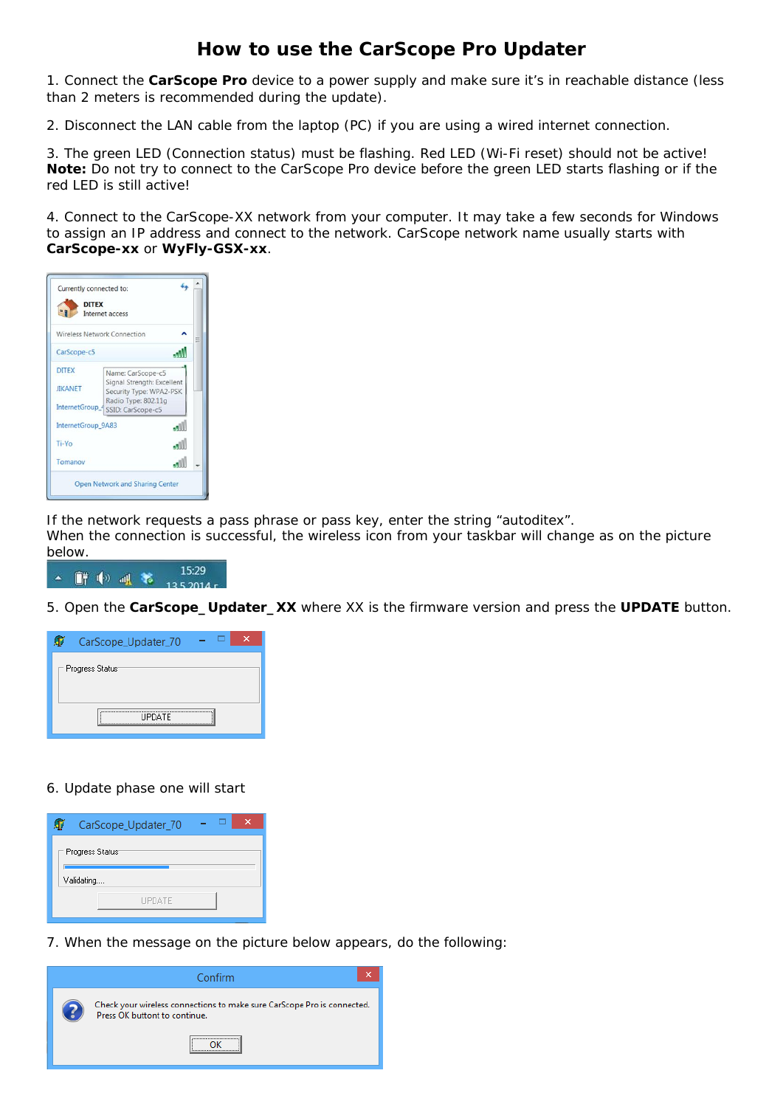## **How to use the CarScope Pro Updater**

1. Connect the **CarScope Pro** device to a power supply and make sure it's in reachable distance (less than 2 meters is recommended during the update).

2. Disconnect the LAN cable from the laptop (PC) if you are using a wired internet connection.

3. The green LED (Connection status) must be flashing. Red LED (Wi-Fi reset) should not be active! **Note:** Do not try to connect to the CarScope Pro device before the green LED starts flashing or if the red LED is still active!

4. Connect to the CarScope-XX network from your computer. It may take a few seconds for Windows to assign an IP address and connect to the network. CarScope network name usually starts with **CarScope-xx** or **WyFly-GSX-xx**.



If the network requests a pass phrase or pass key, enter the string "autoditex".

When the connection is successful, the wireless icon from your taskbar will change as on the picture below.



5. Open the **CarScope\_Updater\_XX** where XX is the firmware version and press the **UPDATE** button.



## 6. Update phase one will start

|                 | CarScope_Updater_70 |  |  |  |  |  |
|-----------------|---------------------|--|--|--|--|--|
| Progress Status |                     |  |  |  |  |  |
| Validating      |                     |  |  |  |  |  |
|                 | <b>UPDATE</b>       |  |  |  |  |  |

7. When the message on the picture below appears, do the following: